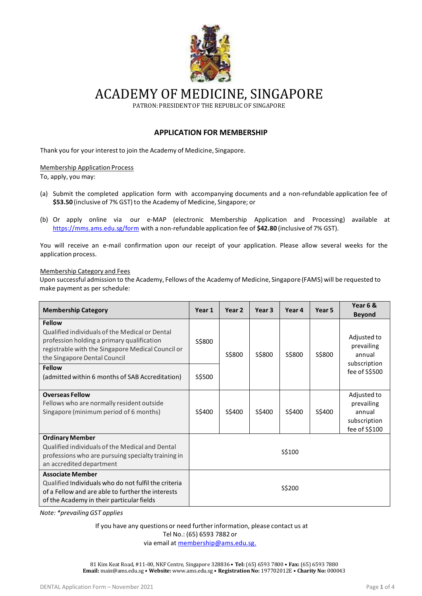

ACADEMY OF MEDICINE, SINGAPORE

PATRON: PRESIDENTOF THE REPUBLIC OF SINGAPORE

# **APPLICATION FOR MEMBERSHIP**

Thank you for your interest to join the Academy of Medicine, Singapore.

## Membership Application Process

To, apply, you may:

- (a) Submit the completed application form with accompanying documents and a non-refundable application fee of \$53.50 (inclusive of 7% GST) to the Academy of Medicine, Singapore; or
- (b) Or apply online via our e-MAP (electronic Membership Application and Processing) available at <https://mms.ams.edu.sg/form> with a non-refundable application fee of **\$42.80** (inclusive of 7% GST).

You will receive an e-mail confirmation upon our receipt of your application. Please allow several weeks for the application process.

#### Membership Category and Fees

Upon successful admission to the Academy, Fellows of the Academy of Medicine, Singapore (FAMS) will be requested to make payment as per schedule:

| <b>Membership Category</b>                                                                                                                                                                         | Year 1 | Year <sub>2</sub> | Year <sub>3</sub> | Year 4 | Year 5 | Year 6 &                                                             |
|----------------------------------------------------------------------------------------------------------------------------------------------------------------------------------------------------|--------|-------------------|-------------------|--------|--------|----------------------------------------------------------------------|
|                                                                                                                                                                                                    |        |                   |                   |        |        | <b>Beyond</b>                                                        |
| <b>Fellow</b><br>Qualified individuals of the Medical or Dental<br>profession holding a primary qualification<br>registrable with the Singapore Medical Council or<br>the Singapore Dental Council | S\$800 | S\$800            | S\$800            | S\$800 | S\$800 | Adjusted to<br>prevailing<br>annual<br>subscription                  |
| Fellow<br>(admitted within 6 months of SAB Accreditation)                                                                                                                                          | S\$500 |                   |                   |        |        | fee of S\$500                                                        |
| <b>Overseas Fellow</b><br>Fellows who are normally resident outside<br>Singapore (minimum period of 6 months)                                                                                      | S\$400 | S\$400            | S\$400            | S\$400 | S\$400 | Adjusted to<br>prevailing<br>annual<br>subscription<br>fee of S\$100 |
| <b>Ordinary Member</b><br>Qualified individuals of the Medical and Dental<br>professions who are pursuing specialty training in<br>an accredited department                                        | S\$100 |                   |                   |        |        |                                                                      |
| <b>Associate Member</b><br>Qualified Individuals who do not fulfil the criteria<br>of a Fellow and are able to further the interests<br>of the Academy in their particular fields                  | S\$200 |                   |                   |        |        |                                                                      |

*Note: \*prevailingGST applies*

If you have any questions or need further information, please contact us at

Tel No.: (65) 6593 7882 or

via email at [membership@ams.edu.sg.](mailto:membership@ams.edu.sg)

81 Kim Keat Road, #11-00, NKF Centre, Singapore 328836 • **Tel:** (65) 6593 7800 • **Fax:** (65) 6593 7880 **Email:** [main@ams.edu.sg](mailto:main@ams.edu.sg) • **Website:** [www.ams.edu.sg](http://www.ams.edu.sg/) • **RegistrationNo:** 197702012E • **Charity No:** 000043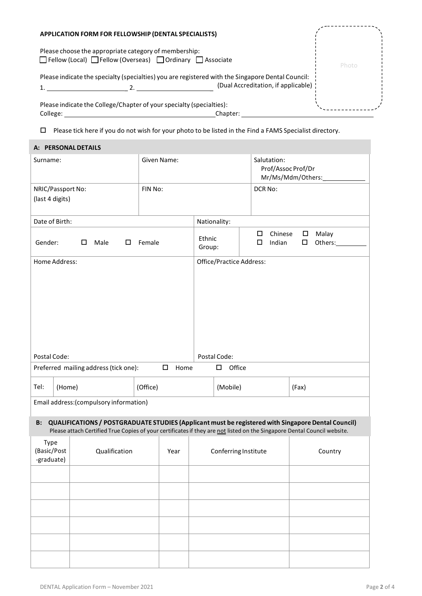## **APPLICATION FORM FOR FELLOWSHIP (DENTAL SPECIALISTS)**

Please choose the appropriate category of membership: □ Fellow (Local) □ Fellow (Overseas) □ Ordinary □ Associate

Please indicate the specialty (specialties) you are registered with the Singapore Dental Council: 1.  $\frac{1}{2}$ (Dual Accreditation, if applicable)

Please indicate the College/Chapter of your specialty (specialties): College: College: College: College: Chapter:

 $\Box$  Please tick here if you do not wish for your photo to be listed in the Find a FAMS Specialist directory.

| A: PERSONAL DETAILS                                                                                                                                                                                                               |                       |                  |                                  |                                      |                                         |  |  |
|-----------------------------------------------------------------------------------------------------------------------------------------------------------------------------------------------------------------------------------|-----------------------|------------------|----------------------------------|--------------------------------------|-----------------------------------------|--|--|
| Surname:                                                                                                                                                                                                                          |                       | Given Name:      |                                  | Salutation:                          | Prof/Assoc Prof/Dr<br>Mr/Ms/Mdm/Others: |  |  |
| NRIC/Passport No:<br>(last 4 digits)                                                                                                                                                                                              |                       | FIN No:          |                                  | DCR No:                              |                                         |  |  |
| Date of Birth:                                                                                                                                                                                                                    |                       |                  | Nationality:                     |                                      |                                         |  |  |
| $\square$ Female<br>Gender:<br>Male<br>□                                                                                                                                                                                          |                       | Ethnic<br>Group: | Chinese<br>$\Box$<br>□<br>Indian | $\square$ Malay<br>$\Box$<br>Others: |                                         |  |  |
| Home Address:                                                                                                                                                                                                                     |                       |                  | Office/Practice Address:         |                                      |                                         |  |  |
| Postal Code:<br>Postal Code:                                                                                                                                                                                                      |                       |                  |                                  |                                      |                                         |  |  |
| Preferred mailing address (tick one):<br>$\Box$<br>Home<br>$\square$ Office                                                                                                                                                       |                       |                  |                                  |                                      |                                         |  |  |
| Tel:<br>(Home)                                                                                                                                                                                                                    |                       | (Office)         | (Mobile)                         |                                      | (Fax)                                   |  |  |
| Email address: (compulsory information)                                                                                                                                                                                           |                       |                  |                                  |                                      |                                         |  |  |
| B: QUALIFICATIONS / POSTGRADUATE STUDIES (Applicant must be registered with Singapore Dental Council)<br>Please attach Certified True Copies of your certificates if they are not listed on the Singapore Dental Council website. |                       |                  |                                  |                                      |                                         |  |  |
| Type<br>(Basic/Post<br>graduate)                                                                                                                                                                                                  | Qualification<br>Year |                  | Conferring Institute             |                                      | Country                                 |  |  |
|                                                                                                                                                                                                                                   |                       |                  |                                  |                                      |                                         |  |  |
|                                                                                                                                                                                                                                   |                       |                  |                                  |                                      |                                         |  |  |
|                                                                                                                                                                                                                                   |                       |                  |                                  |                                      |                                         |  |  |
|                                                                                                                                                                                                                                   |                       |                  |                                  |                                      |                                         |  |  |
|                                                                                                                                                                                                                                   |                       |                  |                                  |                                      |                                         |  |  |
|                                                                                                                                                                                                                                   |                       |                  |                                  |                                      |                                         |  |  |
|                                                                                                                                                                                                                                   |                       |                  |                                  |                                      |                                         |  |  |

ı

Photo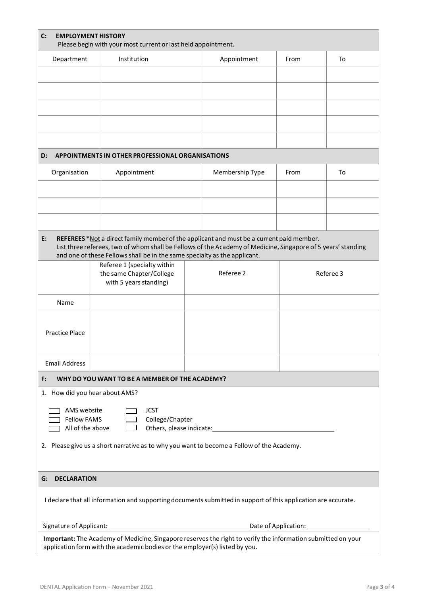| C:<br><b>EMPLOYMENT HISTORY</b><br>Please begin with your most current or last held appointment.                                                                                            |                                                                           |                                                                                                                                                                                                          |      |           |  |
|---------------------------------------------------------------------------------------------------------------------------------------------------------------------------------------------|---------------------------------------------------------------------------|----------------------------------------------------------------------------------------------------------------------------------------------------------------------------------------------------------|------|-----------|--|
| Department                                                                                                                                                                                  | Institution                                                               | Appointment                                                                                                                                                                                              | From | To        |  |
|                                                                                                                                                                                             |                                                                           |                                                                                                                                                                                                          |      |           |  |
|                                                                                                                                                                                             |                                                                           |                                                                                                                                                                                                          |      |           |  |
|                                                                                                                                                                                             |                                                                           |                                                                                                                                                                                                          |      |           |  |
|                                                                                                                                                                                             |                                                                           |                                                                                                                                                                                                          |      |           |  |
|                                                                                                                                                                                             |                                                                           |                                                                                                                                                                                                          |      |           |  |
|                                                                                                                                                                                             |                                                                           |                                                                                                                                                                                                          |      |           |  |
| D:                                                                                                                                                                                          | APPOINTMENTS IN OTHER PROFESSIONAL ORGANISATIONS                          |                                                                                                                                                                                                          |      |           |  |
| Organisation                                                                                                                                                                                | Appointment                                                               | Membership Type                                                                                                                                                                                          | From | To        |  |
|                                                                                                                                                                                             |                                                                           |                                                                                                                                                                                                          |      |           |  |
|                                                                                                                                                                                             |                                                                           |                                                                                                                                                                                                          |      |           |  |
|                                                                                                                                                                                             |                                                                           |                                                                                                                                                                                                          |      |           |  |
|                                                                                                                                                                                             |                                                                           |                                                                                                                                                                                                          |      |           |  |
| E:                                                                                                                                                                                          |                                                                           | REFEREES *Not a direct family member of the applicant and must be a current paid member.<br>List three referees, two of whom shall be Fellows of the Academy of Medicine, Singapore of 5 years' standing |      |           |  |
|                                                                                                                                                                                             | and one of these Fellows shall be in the same specialty as the applicant. |                                                                                                                                                                                                          |      |           |  |
|                                                                                                                                                                                             | Referee 1 (specialty within<br>the same Chapter/College                   | Referee 2                                                                                                                                                                                                |      | Referee 3 |  |
|                                                                                                                                                                                             | with 5 years standing)                                                    |                                                                                                                                                                                                          |      |           |  |
| Name                                                                                                                                                                                        |                                                                           |                                                                                                                                                                                                          |      |           |  |
|                                                                                                                                                                                             |                                                                           |                                                                                                                                                                                                          |      |           |  |
| <b>Practice Place</b>                                                                                                                                                                       |                                                                           |                                                                                                                                                                                                          |      |           |  |
|                                                                                                                                                                                             |                                                                           |                                                                                                                                                                                                          |      |           |  |
| <b>Email Address</b>                                                                                                                                                                        |                                                                           |                                                                                                                                                                                                          |      |           |  |
| WHY DO YOU WANT TO BE A MEMBER OF THE ACADEMY?<br>F:                                                                                                                                        |                                                                           |                                                                                                                                                                                                          |      |           |  |
| 1. How did you hear about AMS?                                                                                                                                                              |                                                                           |                                                                                                                                                                                                          |      |           |  |
| AMS website                                                                                                                                                                                 |                                                                           |                                                                                                                                                                                                          |      |           |  |
| <b>Fellow FAMS</b>                                                                                                                                                                          | <b>JCST</b><br>College/Chapter                                            |                                                                                                                                                                                                          |      |           |  |
| All of the above                                                                                                                                                                            |                                                                           |                                                                                                                                                                                                          |      |           |  |
| 2. Please give us a short narrative as to why you want to become a Fellow of the Academy.                                                                                                   |                                                                           |                                                                                                                                                                                                          |      |           |  |
|                                                                                                                                                                                             |                                                                           |                                                                                                                                                                                                          |      |           |  |
| <b>DECLARATION</b><br>G:                                                                                                                                                                    |                                                                           |                                                                                                                                                                                                          |      |           |  |
|                                                                                                                                                                                             |                                                                           |                                                                                                                                                                                                          |      |           |  |
| I declare that all information and supporting documents submitted in support of this application are accurate.                                                                              |                                                                           |                                                                                                                                                                                                          |      |           |  |
| Signature of Applicant:                                                                                                                                                                     |                                                                           |                                                                                                                                                                                                          |      |           |  |
| Important: The Academy of Medicine, Singapore reserves the right to verify the information submitted on your<br>application form with the academic bodies or the employer(s) listed by you. |                                                                           |                                                                                                                                                                                                          |      |           |  |